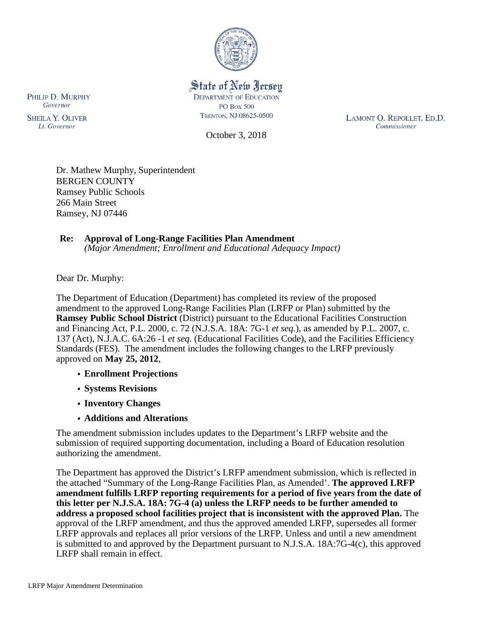

## State of New Jersey **DEPARTMENT OF EDUCATION PO Box 500** TRENTON, NJ 08625-0500

October 3, 2018

LAMONT O. REPOLLET, ED.D. Commissioner

Dr. Mathew Murphy, Superintendent BERGEN COUNTY Ramsey Public Schools 266 Main Street Ramsey, NJ 07446

#### **Re: Approval of Long-Range Facilities Plan Amendment** *(Major Amendment; Enrollment and Educational Adequacy Impact)*

Dear Dr. Murphy:

The Department of Education (Department) has completed its review of the proposed amendment to the approved Long-Range Facilities Plan (LRFP or Plan) submitted by the **Ramsey Public School District** (District) pursuant to the Educational Facilities Construction and Financing Act, P.L. 2000, c. 72 (N.J.S.A. 18A: 7G-1 *et seq.*), as amended by P.L. 2007, c. 137 (Act), N.J.A.C. 6A:26 -1 *et seq.* (Educational Facilities Code), and the Facilities Efficiency Standards (FES). The amendment includes the following changes to the LRFP previously approved on **May 25, 2012**,

- **Enrollment Projections**
- **Systems Revisions**
- **Inventory Changes**
- **Additions and Alterations**

The amendment submission includes updates to the Department's LRFP website and the submission of required supporting documentation, including a Board of Education resolution authorizing the amendment.

The Department has approved the District's LRFP amendment submission, which is reflected in the attached "Summary of the Long-Range Facilities Plan, as Amended'. **The approved LRFP amendment fulfills LRFP reporting requirements for a period of five years from the date of this letter per N.J.S.A. 18A: 7G-4 (a) unless the LRFP needs to be further amended to address a proposed school facilities project that is inconsistent with the approved Plan.** The approval of the LRFP amendment, and thus the approved amended LRFP, supersedes all former LRFP approvals and replaces all prior versions of the LRFP. Unless and until a new amendment is submitted to and approved by the Department pursuant to N.J.S.A. 18A:7G-4(c), this approved LRFP shall remain in effect.

PHILIP D. MURPHY Governor

**SHEILA Y. OLIVER** Lt. Governor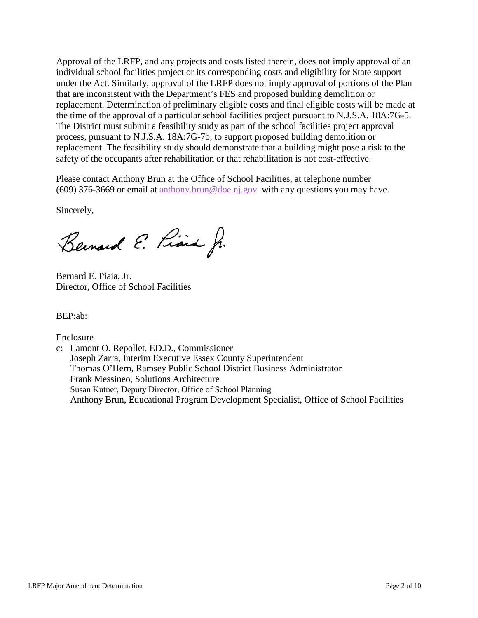Approval of the LRFP, and any projects and costs listed therein, does not imply approval of an individual school facilities project or its corresponding costs and eligibility for State support under the Act. Similarly, approval of the LRFP does not imply approval of portions of the Plan that are inconsistent with the Department's FES and proposed building demolition or replacement. Determination of preliminary eligible costs and final eligible costs will be made at the time of the approval of a particular school facilities project pursuant to N.J.S.A. 18A:7G-5. The District must submit a feasibility study as part of the school facilities project approval process, pursuant to N.J.S.A. 18A:7G-7b, to support proposed building demolition or replacement. The feasibility study should demonstrate that a building might pose a risk to the safety of the occupants after rehabilitation or that rehabilitation is not cost-effective.

Please contact Anthony Brun at the Office of School Facilities, at telephone number (609) 376-3669 or email at [anthony.brun@doe.nj.gov](mailto:anthony.brun@doe.nj.gov) with any questions you may have.

Sincerely,

Bernard E. Piara J.

Bernard E. Piaia, Jr. Director, Office of School Facilities

BEP:ab:

Enclosure

c: Lamont O. Repollet, ED.D., Commissioner Joseph Zarra, Interim Executive Essex County Superintendent Thomas O'Hern, Ramsey Public School District Business Administrator Frank Messineo, Solutions Architecture Susan Kutner, Deputy Director, Office of School Planning Anthony Brun, Educational Program Development Specialist, Office of School Facilities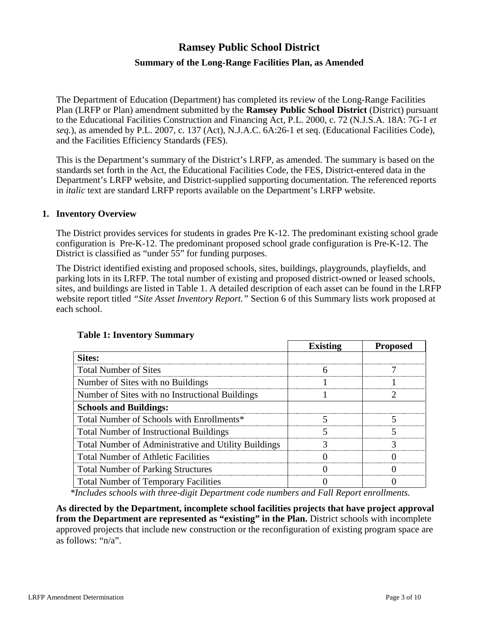# **Ramsey Public School District**

# **Summary of the Long-Range Facilities Plan, as Amended**

The Department of Education (Department) has completed its review of the Long-Range Facilities Plan (LRFP or Plan) amendment submitted by the **Ramsey Public School District** (District) pursuant to the Educational Facilities Construction and Financing Act, P.L. 2000, c. 72 (N.J.S.A. 18A: 7G-1 *et seq.*), as amended by P.L. 2007, c. 137 (Act), N.J.A.C. 6A:26-1 et seq. (Educational Facilities Code), and the Facilities Efficiency Standards (FES).

This is the Department's summary of the District's LRFP, as amended. The summary is based on the standards set forth in the Act, the Educational Facilities Code, the FES, District-entered data in the Department's LRFP website, and District-supplied supporting documentation. The referenced reports in *italic* text are standard LRFP reports available on the Department's LRFP website.

#### **1. Inventory Overview**

The District provides services for students in grades Pre K-12. The predominant existing school grade configuration is Pre-K-12. The predominant proposed school grade configuration is Pre-K-12. The District is classified as "under 55" for funding purposes.

The District identified existing and proposed schools, sites, buildings, playgrounds, playfields, and parking lots in its LRFP. The total number of existing and proposed district-owned or leased schools, sites, and buildings are listed in Table 1. A detailed description of each asset can be found in the LRFP website report titled *"Site Asset Inventory Report."* Section 6 of this Summary lists work proposed at each school.

|                                                      | <b>Existing</b> | <b>Proposed</b> |
|------------------------------------------------------|-----------------|-----------------|
| Sites:                                               |                 |                 |
| <b>Total Number of Sites</b>                         |                 |                 |
| Number of Sites with no Buildings                    |                 |                 |
| Number of Sites with no Instructional Buildings      |                 |                 |
| <b>Schools and Buildings:</b>                        |                 |                 |
| Total Number of Schools with Enrollments*            |                 |                 |
| <b>Total Number of Instructional Buildings</b>       |                 |                 |
| Total Number of Administrative and Utility Buildings |                 |                 |
| <b>Total Number of Athletic Facilities</b>           |                 |                 |
| <b>Total Number of Parking Structures</b>            |                 |                 |
| <b>Total Number of Temporary Facilities</b>          |                 |                 |

### **Table 1: Inventory Summary**

*\*Includes schools with three-digit Department code numbers and Fall Report enrollments.*

**As directed by the Department, incomplete school facilities projects that have project approval from the Department are represented as "existing" in the Plan.** District schools with incomplete approved projects that include new construction or the reconfiguration of existing program space are as follows: "n/a".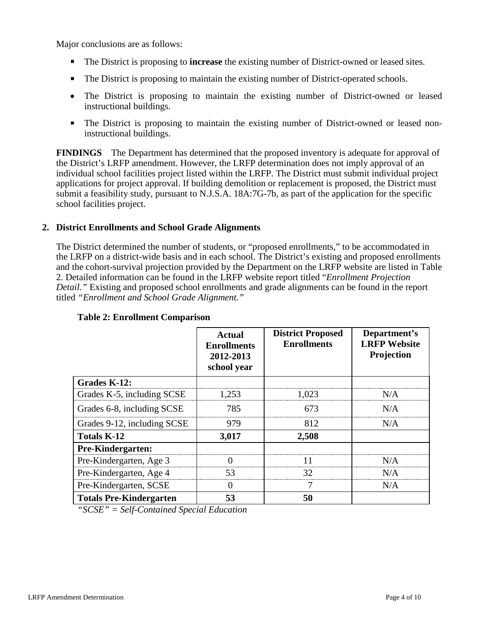Major conclusions are as follows:

- The District is proposing to **increase** the existing number of District-owned or leased sites.
- The District is proposing to maintain the existing number of District-operated schools.
- The District is proposing to maintain the existing number of District-owned or leased instructional buildings.
- The District is proposing to maintain the existing number of District-owned or leased noninstructional buildings.

**FINDINGS** The Department has determined that the proposed inventory is adequate for approval of the District's LRFP amendment. However, the LRFP determination does not imply approval of an individual school facilities project listed within the LRFP. The District must submit individual project applications for project approval. If building demolition or replacement is proposed, the District must submit a feasibility study, pursuant to N.J.S.A. 18A:7G-7b, as part of the application for the specific school facilities project.

# **2. District Enrollments and School Grade Alignments**

The District determined the number of students, or "proposed enrollments," to be accommodated in the LRFP on a district-wide basis and in each school. The District's existing and proposed enrollments and the cohort-survival projection provided by the Department on the LRFP website are listed in Table 2. Detailed information can be found in the LRFP website report titled "*Enrollment Projection Detail."* Existing and proposed school enrollments and grade alignments can be found in the report titled *"Enrollment and School Grade Alignment."*

|                                | Actual<br><b>Enrollments</b><br>2012-2013<br>school year | <b>District Proposed</b><br><b>Enrollments</b> | Department's<br><b>LRFP Website</b><br>Projection |
|--------------------------------|----------------------------------------------------------|------------------------------------------------|---------------------------------------------------|
| Grades K-12:                   |                                                          |                                                |                                                   |
| Grades K-5, including SCSE     | 1,253                                                    | 1.023                                          | N/A                                               |
| Grades 6-8, including SCSE     | 785                                                      | 673                                            | N/A                                               |
| Grades 9-12, including SCSE    | 979                                                      | 812                                            | N/A                                               |
| <b>Totals K-12</b>             | 3,017                                                    | 2,508                                          |                                                   |
| Pre-Kindergarten:              |                                                          |                                                |                                                   |
| Pre-Kindergarten, Age 3        |                                                          | 11                                             | N/A                                               |
| Pre-Kindergarten, Age 4        | 53                                                       | 32                                             | N/A                                               |
| Pre-Kindergarten, SCSE         | $\left( \right)$                                         | 7                                              | N/A                                               |
| <b>Totals Pre-Kindergarten</b> | 53                                                       | 50                                             |                                                   |

### **Table 2: Enrollment Comparison**

*"SCSE" = Self-Contained Special Education*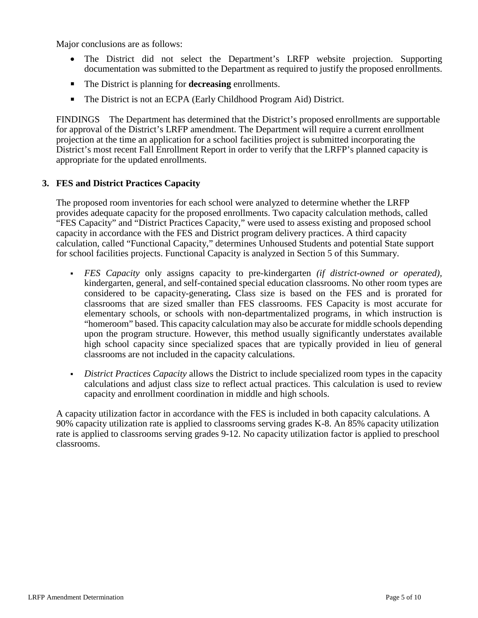Major conclusions are as follows:

- The District did not select the Department's LRFP website projection. Supporting documentation was submitted to the Department as required to justify the proposed enrollments.
- The District is planning for **decreasing** enrollments.
- The District is not an ECPA (Early Childhood Program Aid) District.

FINDINGS The Department has determined that the District's proposed enrollments are supportable for approval of the District's LRFP amendment. The Department will require a current enrollment projection at the time an application for a school facilities project is submitted incorporating the District's most recent Fall Enrollment Report in order to verify that the LRFP's planned capacity is appropriate for the updated enrollments.

### **3. FES and District Practices Capacity**

The proposed room inventories for each school were analyzed to determine whether the LRFP provides adequate capacity for the proposed enrollments. Two capacity calculation methods, called "FES Capacity" and "District Practices Capacity," were used to assess existing and proposed school capacity in accordance with the FES and District program delivery practices. A third capacity calculation, called "Functional Capacity," determines Unhoused Students and potential State support for school facilities projects. Functional Capacity is analyzed in Section 5 of this Summary.

- *FES Capacity* only assigns capacity to pre-kindergarten *(if district-owned or operated),* kindergarten, general, and self-contained special education classrooms. No other room types are considered to be capacity-generating**.** Class size is based on the FES and is prorated for classrooms that are sized smaller than FES classrooms. FES Capacity is most accurate for elementary schools, or schools with non-departmentalized programs, in which instruction is "homeroom" based. This capacity calculation may also be accurate for middle schools depending upon the program structure. However, this method usually significantly understates available high school capacity since specialized spaces that are typically provided in lieu of general classrooms are not included in the capacity calculations.
- *District Practices Capacity* allows the District to include specialized room types in the capacity calculations and adjust class size to reflect actual practices. This calculation is used to review capacity and enrollment coordination in middle and high schools.

A capacity utilization factor in accordance with the FES is included in both capacity calculations. A 90% capacity utilization rate is applied to classrooms serving grades K-8. An 85% capacity utilization rate is applied to classrooms serving grades 9-12. No capacity utilization factor is applied to preschool classrooms.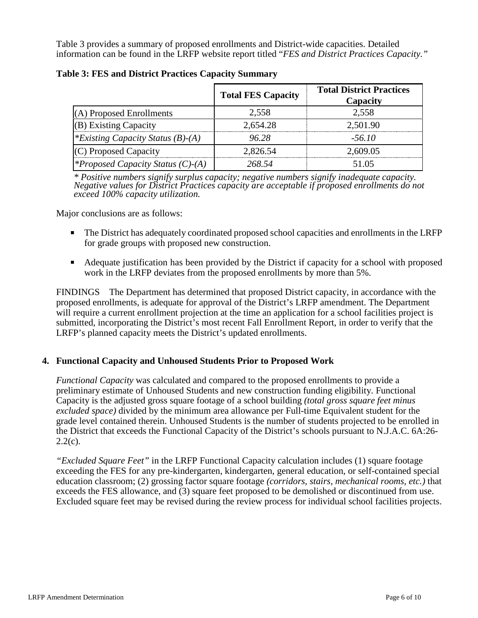Table 3 provides a summary of proposed enrollments and District-wide capacities. Detailed information can be found in the LRFP website report titled "*FES and District Practices Capacity."*

|                                          | <b>Total FES Capacity</b> | <b>Total District Practices</b><br>Capacity |
|------------------------------------------|---------------------------|---------------------------------------------|
| (A) Proposed Enrollments                 | 2,558                     | 2.558                                       |
| (B) Existing Capacity                    | 2,654.28                  | 2,501.90                                    |
| <i>*Existing Capacity Status (B)-(A)</i> | 96.28                     | $-56.10$                                    |
| (C) Proposed Capacity                    | 2,826.54                  | 2,609.05                                    |
| <i>*Proposed Capacity Status (C)-(A)</i> | 268.54                    | 51.05                                       |

**Table 3: FES and District Practices Capacity Summary**

*\* Positive numbers signify surplus capacity; negative numbers signify inadequate capacity. Negative values for District Practices capacity are acceptable if proposed enrollments do not exceed 100% capacity utilization.*

Major conclusions are as follows:

- The District has adequately coordinated proposed school capacities and enrollments in the LRFP for grade groups with proposed new construction.
- Adequate justification has been provided by the District if capacity for a school with proposed work in the LRFP deviates from the proposed enrollments by more than 5%.

FINDINGS The Department has determined that proposed District capacity, in accordance with the proposed enrollments, is adequate for approval of the District's LRFP amendment. The Department will require a current enrollment projection at the time an application for a school facilities project is submitted, incorporating the District's most recent Fall Enrollment Report, in order to verify that the LRFP's planned capacity meets the District's updated enrollments.

### **4. Functional Capacity and Unhoused Students Prior to Proposed Work**

*Functional Capacity* was calculated and compared to the proposed enrollments to provide a preliminary estimate of Unhoused Students and new construction funding eligibility. Functional Capacity is the adjusted gross square footage of a school building *(total gross square feet minus excluded space)* divided by the minimum area allowance per Full-time Equivalent student for the grade level contained therein. Unhoused Students is the number of students projected to be enrolled in the District that exceeds the Functional Capacity of the District's schools pursuant to N.J.A.C. 6A:26-  $2.2(c)$ .

*"Excluded Square Feet"* in the LRFP Functional Capacity calculation includes (1) square footage exceeding the FES for any pre-kindergarten, kindergarten, general education, or self-contained special education classroom; (2) grossing factor square footage *(corridors, stairs, mechanical rooms, etc.)* that exceeds the FES allowance, and (3) square feet proposed to be demolished or discontinued from use. Excluded square feet may be revised during the review process for individual school facilities projects.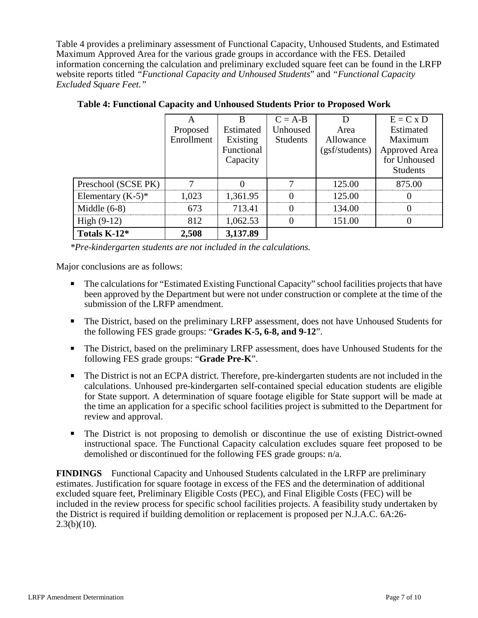Table 4 provides a preliminary assessment of Functional Capacity, Unhoused Students, and Estimated Maximum Approved Area for the various grade groups in accordance with the FES. Detailed information concerning the calculation and preliminary excluded square feet can be found in the LRFP website reports titled *"Functional Capacity and Unhoused Students*" and *"Functional Capacity Excluded Square Feet."*

|                      |            |            | $C = A-B$       |                | $E = C x D$          |
|----------------------|------------|------------|-----------------|----------------|----------------------|
|                      | Proposed   | Estimated  | Unhoused        | Area           | Estimated            |
|                      | Enrollment | Existing   | <b>Students</b> | Allowance      | Maximum              |
|                      |            | Functional |                 | (gsf/students) | <b>Approved Area</b> |
|                      |            | Capacity   |                 |                | for Unhoused         |
|                      |            |            |                 |                | <b>Students</b>      |
| Preschool (SCSE PK)  |            |            |                 | 125.00         | 875.00               |
| Elementary $(K-5)^*$ | 1.023      | 1,361.95   |                 | 125.00         |                      |
| Middle $(6-8)$       | 673        | 713.41     |                 | 134.00         |                      |
| High $(9-12)$        | 812        | 1,062.53   |                 | 151.00         |                      |
| Totals K-12*         | 2,508      | 3,137.89   |                 |                |                      |

**Table 4: Functional Capacity and Unhoused Students Prior to Proposed Work**

*\*Pre-kindergarten students are not included in the calculations.* 

Major conclusions are as follows:

- The calculations for "Estimated Existing Functional Capacity" school facilities projects that have been approved by the Department but were not under construction or complete at the time of the submission of the LRFP amendment.
- The District, based on the preliminary LRFP assessment, does not have Unhoused Students for the following FES grade groups: "**Grades K-5, 6-8, and 9-12**".
- The District, based on the preliminary LRFP assessment, does have Unhoused Students for the following FES grade groups: "**Grade Pre-K**".
- The District is not an ECPA district. Therefore, pre-kindergarten students are not included in the calculations. Unhoused pre-kindergarten self-contained special education students are eligible for State support. A determination of square footage eligible for State support will be made at the time an application for a specific school facilities project is submitted to the Department for review and approval.
- The District is not proposing to demolish or discontinue the use of existing District-owned instructional space. The Functional Capacity calculation excludes square feet proposed to be demolished or discontinued for the following FES grade groups: n/a.

**FINDINGS** Functional Capacity and Unhoused Students calculated in the LRFP are preliminary estimates. Justification for square footage in excess of the FES and the determination of additional excluded square feet, Preliminary Eligible Costs (PEC), and Final Eligible Costs (FEC) will be included in the review process for specific school facilities projects. A feasibility study undertaken by the District is required if building demolition or replacement is proposed per N.J.A.C. 6A:26-  $2.3(b)(10)$ .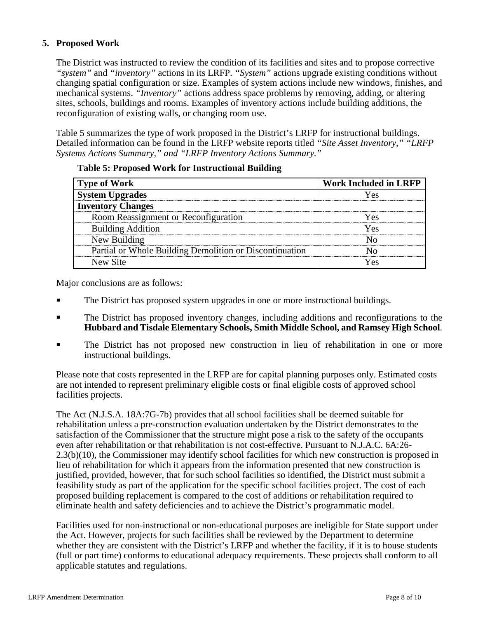# **5. Proposed Work**

The District was instructed to review the condition of its facilities and sites and to propose corrective *"system"* and *"inventory"* actions in its LRFP. *"System"* actions upgrade existing conditions without changing spatial configuration or size. Examples of system actions include new windows, finishes, and mechanical systems. *"Inventory"* actions address space problems by removing, adding, or altering sites, schools, buildings and rooms. Examples of inventory actions include building additions, the reconfiguration of existing walls, or changing room use.

Table 5 summarizes the type of work proposed in the District's LRFP for instructional buildings. Detailed information can be found in the LRFP website reports titled *"Site Asset Inventory," "LRFP Systems Actions Summary," and "LRFP Inventory Actions Summary."* 

| <b>Type of Work</b>                                     | Work Included in LRFP |
|---------------------------------------------------------|-----------------------|
| ystem Upgrades                                          |                       |
| <b>Inventory Changes</b>                                |                       |
| Room Reassignment or Reconfiguration                    | ۷Α۲                   |
| <b>Building Addition</b>                                | Yes                   |
| New Building                                            |                       |
| Partial or Whole Building Demolition or Discontinuation |                       |
| New Site                                                |                       |

### **Table 5: Proposed Work for Instructional Building**

Major conclusions are as follows:

- The District has proposed system upgrades in one or more instructional buildings.
- The District has proposed inventory changes, including additions and reconfigurations to the **Hubbard and Tisdale Elementary Schools, Smith Middle School, and Ramsey High School**.
- The District has not proposed new construction in lieu of rehabilitation in one or more instructional buildings.

Please note that costs represented in the LRFP are for capital planning purposes only. Estimated costs are not intended to represent preliminary eligible costs or final eligible costs of approved school facilities projects.

The Act (N.J.S.A. 18A:7G-7b) provides that all school facilities shall be deemed suitable for rehabilitation unless a pre-construction evaluation undertaken by the District demonstrates to the satisfaction of the Commissioner that the structure might pose a risk to the safety of the occupants even after rehabilitation or that rehabilitation is not cost-effective. Pursuant to N.J.A.C. 6A:26- 2.3(b)(10), the Commissioner may identify school facilities for which new construction is proposed in lieu of rehabilitation for which it appears from the information presented that new construction is justified, provided, however, that for such school facilities so identified, the District must submit a feasibility study as part of the application for the specific school facilities project. The cost of each proposed building replacement is compared to the cost of additions or rehabilitation required to eliminate health and safety deficiencies and to achieve the District's programmatic model.

Facilities used for non-instructional or non-educational purposes are ineligible for State support under the Act. However, projects for such facilities shall be reviewed by the Department to determine whether they are consistent with the District's LRFP and whether the facility, if it is to house students (full or part time) conforms to educational adequacy requirements. These projects shall conform to all applicable statutes and regulations.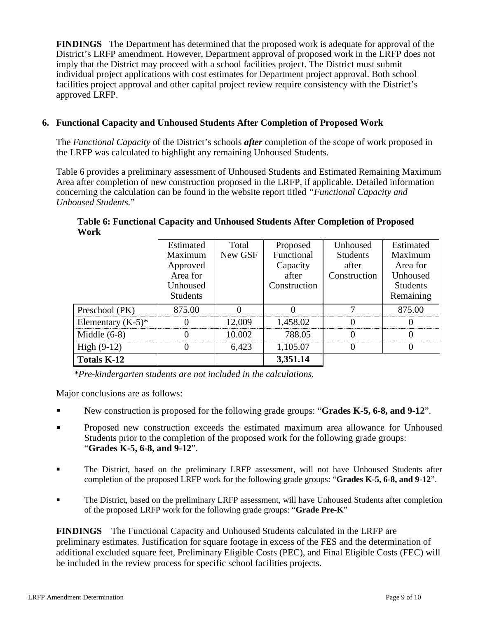**FINDINGS** The Department has determined that the proposed work is adequate for approval of the District's LRFP amendment. However, Department approval of proposed work in the LRFP does not imply that the District may proceed with a school facilities project. The District must submit individual project applications with cost estimates for Department project approval. Both school facilities project approval and other capital project review require consistency with the District's approved LRFP.

# **6. Functional Capacity and Unhoused Students After Completion of Proposed Work**

The *Functional Capacity* of the District's schools *after* completion of the scope of work proposed in the LRFP was calculated to highlight any remaining Unhoused Students.

Table 6 provides a preliminary assessment of Unhoused Students and Estimated Remaining Maximum Area after completion of new construction proposed in the LRFP, if applicable. Detailed information concerning the calculation can be found in the website report titled *"Functional Capacity and Unhoused Students.*"

|                      | <b>Estimated</b> | Total   | Proposed     | Unhoused        | Estimated       |
|----------------------|------------------|---------|--------------|-----------------|-----------------|
|                      | Maximum          | New GSF | Functional   | <b>Students</b> | Maximum         |
|                      | Approved         |         | Capacity     | after           | Area for        |
|                      | Area for         |         | after        | Construction    | Unhoused        |
|                      | Unhoused         |         | Construction |                 | <b>Students</b> |
|                      | <b>Students</b>  |         |              |                 | Remaining       |
| Preschool (PK)       | 875.00           |         |              |                 | 875.00          |
| Elementary $(K-5)^*$ |                  | 12.009  | 1,458.02     |                 |                 |
| Middle $(6-8)$       |                  | 10.002  | 788.05       |                 |                 |
| High $(9-12)$        |                  | 6,423   | 1,105.07     |                 |                 |
| <b>Totals K-12</b>   |                  |         | 3,351.14     |                 |                 |

**Table 6: Functional Capacity and Unhoused Students After Completion of Proposed Work**

*\*Pre-kindergarten students are not included in the calculations.*

Major conclusions are as follows:

- New construction is proposed for the following grade groups: "**Grades K-5, 6-8, and 9-12**".
- Proposed new construction exceeds the estimated maximum area allowance for Unhoused Students prior to the completion of the proposed work for the following grade groups: "**Grades K-5, 6-8, and 9-12**".
- The District, based on the preliminary LRFP assessment, will not have Unhoused Students after completion of the proposed LRFP work for the following grade groups: "**Grades K-5, 6-8, and 9-12**".
- The District, based on the preliminary LRFP assessment, will have Unhoused Students after completion of the proposed LRFP work for the following grade groups: "**Grade Pre-K**"

**FINDINGS** The Functional Capacity and Unhoused Students calculated in the LRFP are preliminary estimates. Justification for square footage in excess of the FES and the determination of additional excluded square feet, Preliminary Eligible Costs (PEC), and Final Eligible Costs (FEC) will be included in the review process for specific school facilities projects.